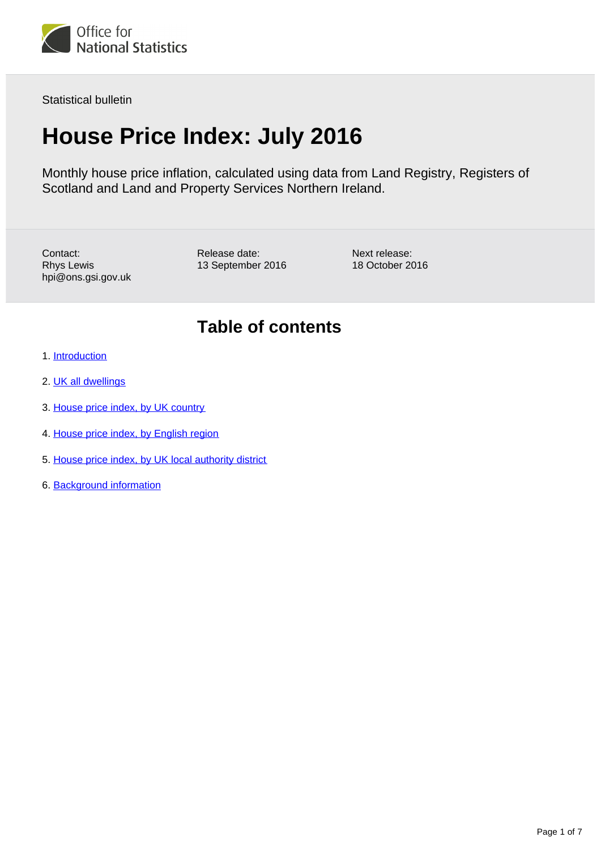

Statistical bulletin

# **House Price Index: July 2016**

Monthly house price inflation, calculated using data from Land Registry, Registers of Scotland and Land and Property Services Northern Ireland.

Contact: Rhys Lewis hpi@ons.gsi.gov.uk Release date: 13 September 2016 Next release: 18 October 2016

### **Table of contents**

- 1. [Introduction](#page-1-0)
- 2. [UK all dwellings](#page-1-1)
- 3. [House price index, by UK country](#page-2-0)
- 4. [House price index, by English region](#page-3-0)
- 5. [House price index, by UK local authority district](#page-5-0)
- 6. Background information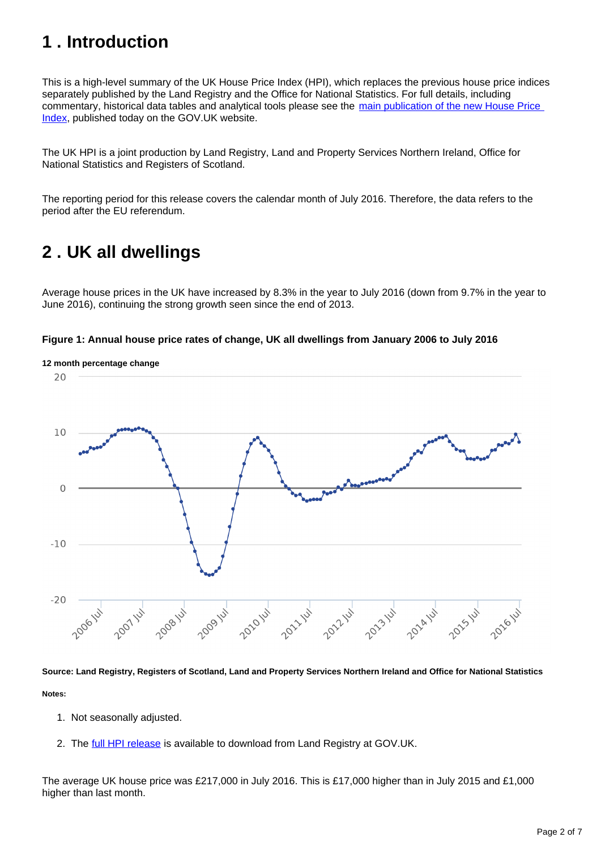# <span id="page-1-0"></span>**1 . Introduction**

This is a high-level summary of the UK House Price Index (HPI), which replaces the previous house price indices separately published by the Land Registry and the Office for National Statistics. For full details, including commentary, historical data tables and analytical tools please see the [main publication of the new House Price](https://www.gov.uk/government/collections/uk-house-price-index-reports)  [Index](https://www.gov.uk/government/collections/uk-house-price-index-reports), published today on the GOV.UK website.

The UK HPI is a joint production by Land Registry, Land and Property Services Northern Ireland, Office for National Statistics and Registers of Scotland.

The reporting period for this release covers the calendar month of July 2016. Therefore, the data refers to the period after the EU referendum.

# <span id="page-1-1"></span>**2 . UK all dwellings**

Average house prices in the UK have increased by 8.3% in the year to July 2016 (down from 9.7% in the year to June 2016), continuing the strong growth seen since the end of 2013.





**Source: Land Registry, Registers of Scotland, Land and Property Services Northern Ireland and Office for National Statistics**

**Notes:**

- 1. Not seasonally adjusted.
- 2. The *full HPI release* is available to download from Land Registry at GOV.UK.

The average UK house price was £217,000 in July 2016. This is £17,000 higher than in July 2015 and £1,000 higher than last month.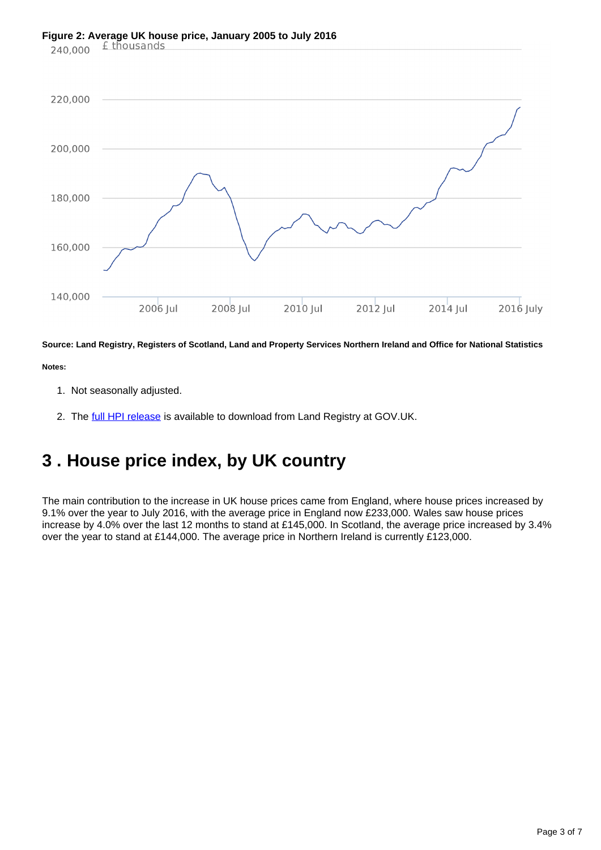# **Figure 2: Average UK house price, January 2005 to July 2016**<br>240,000  $\pm$  thousands



**Source: Land Registry, Registers of Scotland, Land and Property Services Northern Ireland and Office for National Statistics**

**Notes:**

- 1. Not seasonally adjusted.
- 2. The *full HPI release* is available to download from Land Registry at GOV.UK.

# <span id="page-2-0"></span>**3 . House price index, by UK country**

The main contribution to the increase in UK house prices came from England, where house prices increased by 9.1% over the year to July 2016, with the average price in England now £233,000. Wales saw house prices increase by 4.0% over the last 12 months to stand at £145,000. In Scotland, the average price increased by 3.4% over the year to stand at £144,000. The average price in Northern Ireland is currently £123,000.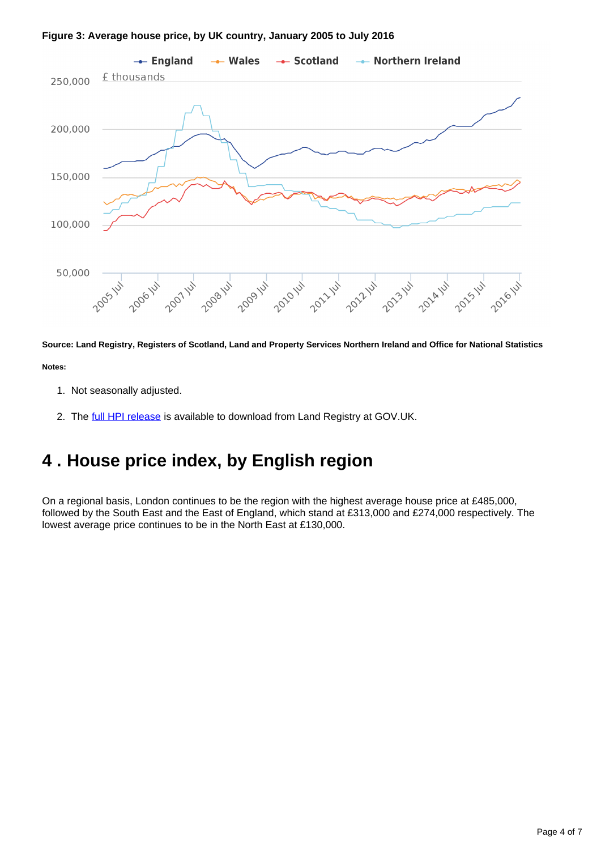#### **Figure 3: Average house price, by UK country, January 2005 to July 2016**



**Source: Land Registry, Registers of Scotland, Land and Property Services Northern Ireland and Office for National Statistics Notes:**

- 1. Not seasonally adjusted.
- 2. The *full HPI release* is available to download from Land Registry at GOV.UK.

### <span id="page-3-0"></span>**4 . House price index, by English region**

On a regional basis, London continues to be the region with the highest average house price at £485,000, followed by the South East and the East of England, which stand at £313,000 and £274,000 respectively. The lowest average price continues to be in the North East at £130,000.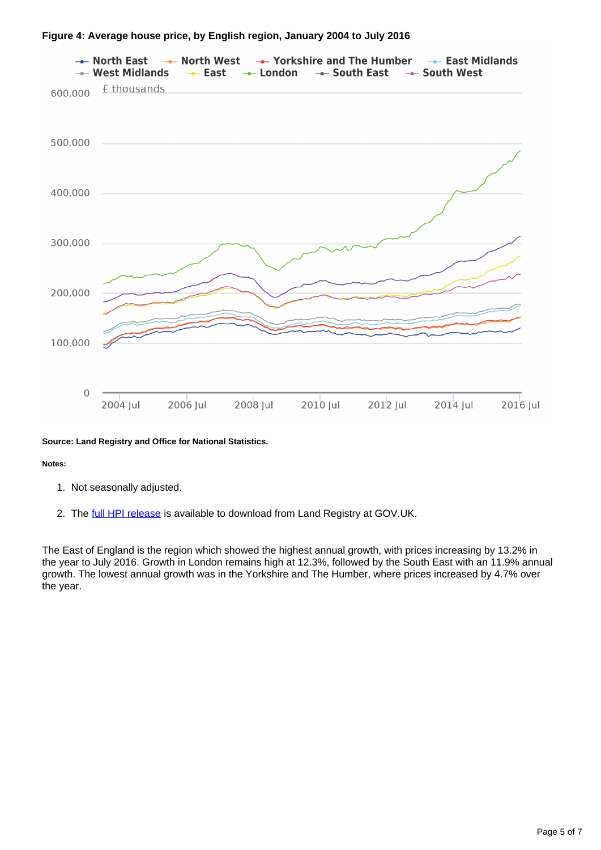

### **Figure 4: Average house price, by English region, January 2004 to July 2016**

### **Source: Land Registry and Office for National Statistics.**

#### **Notes:**

- 1. Not seasonally adjusted.
- 2. The *full HPI release* is available to download from Land Registry at GOV.UK.

The East of England is the region which showed the highest annual growth, with prices increasing by 13.2% in the year to July 2016. Growth in London remains high at 12.3%, followed by the South East with an 11.9% annual growth. The lowest annual growth was in the Yorkshire and The Humber, where prices increased by 4.7% over the year.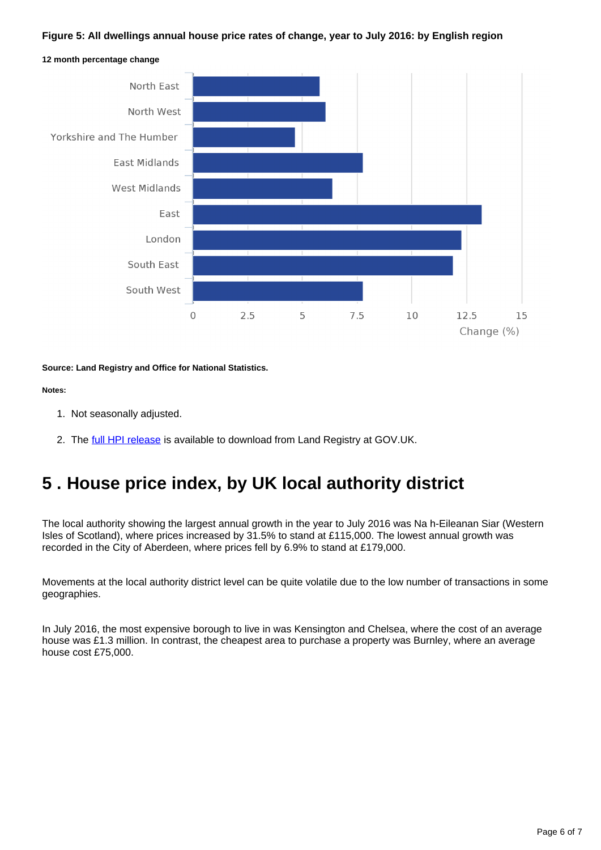### **Figure 5: All dwellings annual house price rates of change, year to July 2016: by English region**



**12 month percentage change**

**Source: Land Registry and Office for National Statistics.**

#### **Notes:**

- 1. Not seasonally adjusted.
- 2. The *full HPI release* is available to download from Land Registry at GOV.UK.

### <span id="page-5-0"></span>**5 . House price index, by UK local authority district**

The local authority showing the largest annual growth in the year to July 2016 was Na h-Eileanan Siar (Western Isles of Scotland), where prices increased by  $31.5\%$  to stand at £115,000. The lowest annual growth was recorded in the City of Aberdeen, where prices fell by 6.9% to stand at £179,000.

Movements at the local authority district level can be quite volatile due to the low number of transactions in some geographies.

In July 2016, the most expensive borough to live in was Kensington and Chelsea, where the cost of an average house was £1.3 million. In contrast, the cheapest area to purchase a property was Burnley, where an average house cost £75,000.